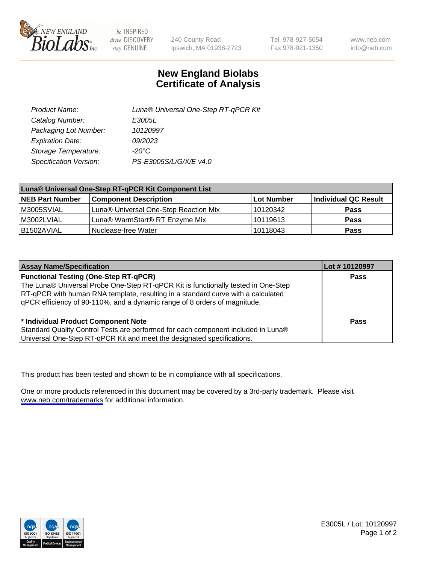

be INSPIRED drive DISCOVERY stay GENUINE

240 County Road Ipswich, MA 01938-2723 Tel 978-927-5054 Fax 978-921-1350

www.neb.com info@neb.com

## **New England Biolabs Certificate of Analysis**

| Product Name:           | Luna® Universal One-Step RT-qPCR Kit |  |
|-------------------------|--------------------------------------|--|
| Catalog Number:         | E3005L                               |  |
| Packaging Lot Number:   | 10120997                             |  |
| <b>Expiration Date:</b> | 09/2023                              |  |
| Storage Temperature:    | $-20^{\circ}$ C                      |  |
| Specification Version:  | PS-E3005S/L/G/X/E v4.0               |  |

| Luna® Universal One-Step RT-qPCR Kit Component List |                                       |            |                      |
|-----------------------------------------------------|---------------------------------------|------------|----------------------|
| <b>NEB Part Number</b>                              | <b>Component Description</b>          | Lot Number | Individual QC Result |
| M3005SVIAL                                          | Luna® Universal One-Step Reaction Mix | 10120342   | <b>Pass</b>          |
| M3002LVIAL                                          | Luna® WarmStart® RT Enzyme Mix        | 10119613   | <b>Pass</b>          |
| B1502AVIAL                                          | Nuclease-free Water                   | 10118043   | <b>Pass</b>          |

| <b>Assay Name/Specification</b>                                                   | Lot #10120997 |
|-----------------------------------------------------------------------------------|---------------|
| <b>Functional Testing (One-Step RT-qPCR)</b>                                      | <b>Pass</b>   |
| The Luna® Universal Probe One-Step RT-qPCR Kit is functionally tested in One-Step |               |
| RT-qPCR with human RNA template, resulting in a standard curve with a calculated  |               |
| gPCR efficiency of 90-110%, and a dynamic range of 8 orders of magnitude.         |               |
| <sup>*</sup> Individual Product Component Note                                    | <b>Pass</b>   |
| Standard Quality Control Tests are performed for each component included in Luna® |               |
| Universal One-Step RT-qPCR Kit and meet the designated specifications.            |               |

This product has been tested and shown to be in compliance with all specifications.

One or more products referenced in this document may be covered by a 3rd-party trademark. Please visit <www.neb.com/trademarks>for additional information.